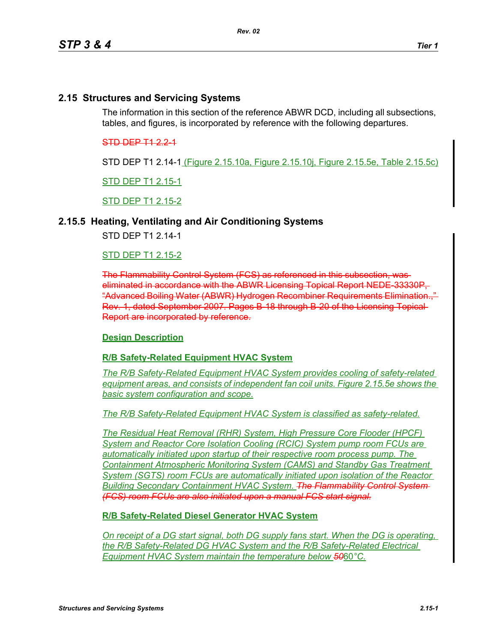# **2.15 Structures and Servicing Systems**

The information in this section of the reference ABWR DCD, including all subsections, tables, and figures, is incorporated by reference with the following departures.

## STD DEP T1 2.2-1

STD DEP T1 2.14-1 (Figure 2.15.10a, Figure 2.15.10j, Figure 2.15.5e, Table 2.15.5c)

STD DEP T1 2.15-1

STD DEP T1 2.15-2

## **2.15.5 Heating, Ventilating and Air Conditioning Systems**

STD DFP T1 2 14-1

#### STD DEP T1 2.15-2

The Flammability Control System (FCS) as referenced in this subsection, eliminated in accordance with the ABWR Licensing Topical Report NEDE 33330P "Advanced Boiling Water (ABWR) Hydrogen Recombiner Requirements Elimination Rev. 1, dated September 2007. Pages B-18 through B-20 of the Licensing Topical Report are incorporated by reference.

#### **Design Description**

#### **R/B Safety-Related Equipment HVAC System**

*The R/B Safety-Related Equipment HVAC System provides cooling of safety-related equipment areas, and consists of independent fan coil units. Figure 2.15.5e shows the basic system configuration and scope.*

*The R/B Safety-Related Equipment HVAC System is classified as safety-related.*

*The Residual Heat Removal (RHR) System, High Pressure Core Flooder (HPCF) System and Reactor Core Isolation Cooling (RCIC) System pump room FCUs are automatically initiated upon startup of their respective room process pump. The Containment Atmospheric Monitoring System (CAMS) and Standby Gas Treatment System (SGTS) room FCUs are automatically initiated upon isolation of the Reactor Building Secondary Containment HVAC System. The Flammability Control System (FCS) room FCUs are also initiated upon a manual FCS start signal.*

#### **R/B Safety-Related Diesel Generator HVAC System**

*On receipt of a DG start signal, both DG supply fans start. When the DG is operating, the R/B Safety-Related DG HVAC System and the R/B Safety-Related Electrical Equipment HVAC System maintain the temperature below 50*60*°C.*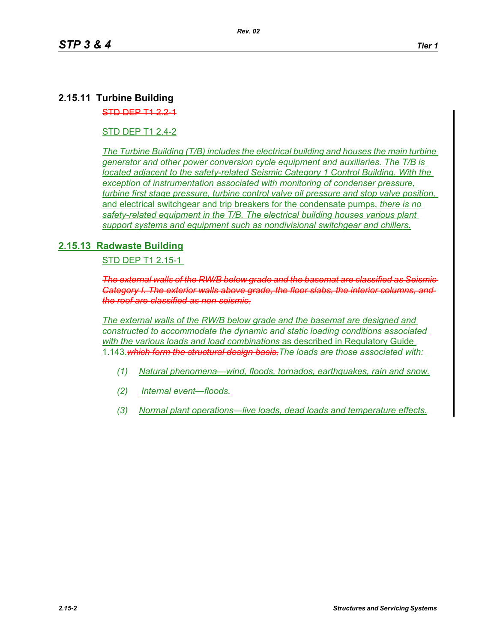# **2.15.11 Turbine Building**

STD DEP T1 2.2-1

## STD DEP T1 2.4-2

*The Turbine Building (T/B) includes the electrical building and houses the main turbine generator and other power conversion cycle equipment and auxiliaries. The T/B is located adjacent to the safety-related Seismic Category 1 Control Building. With the exception of instrumentation associated with monitoring of condenser pressure, turbine first stage pressure, turbine control valve oil pressure and stop valve position,*  and electrical switchgear and trip breakers for the condensate pumps, *there is no safety-related equipment in the T/B. The electrical building houses various plant support systems and equipment such as nondivisional switchgear and chillers.*

# **2.15.13 Radwaste Building**

STD DEP T1 2.15-1

*The external walls of the RW/B below grade and the basemat are classified as Seismic Category I. The exterior walls above grade, the floor slabs, the interior columns, and the roof are classified as non seismic.*

*The external walls of the RW/B below grade and the basemat are designed and constructed to accommodate the dynamic and static loading conditions associated with the various loads and load combinations* as described in Regulatory Guide 1.143.*which form the structural design basis.The loads are those associated with:* 

- *(1) Natural phenomena—wind, floods, tornados, earthquakes, rain and snow.*
- *(2) Internal event—floods.*
- *(3) Normal plant operations—live loads, dead loads and temperature effects.*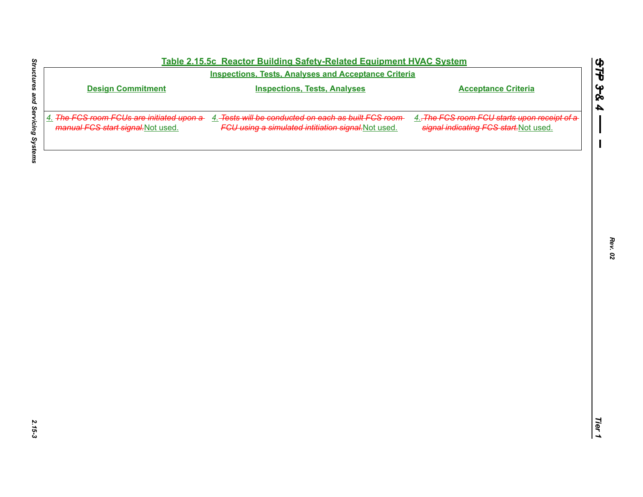| Table 2.15.5c Reactor Building Safety-Related Equipment HVAC System<br><b>Inspections, Tests, Analyses and Acceptance Criteria</b> |                                                                                                                                                       |                                                                                        |
|------------------------------------------------------------------------------------------------------------------------------------|-------------------------------------------------------------------------------------------------------------------------------------------------------|----------------------------------------------------------------------------------------|
| <b>Design Commitment</b>                                                                                                           | <b>Inspections, Tests, Analyses</b>                                                                                                                   | <b>Acceptance Criteria</b>                                                             |
| manual FCS start signal. Not used.                                                                                                 | 4. The FCS room FCUs are initiated upon a 4. Tests will be conducted on each as built FCS room<br>FCU using a simulated intitiation signal. Not used. | 4. The FCS room FCU starts upon receipt of a<br>signal indicating FCS start. Not used. |
|                                                                                                                                    |                                                                                                                                                       |                                                                                        |
|                                                                                                                                    |                                                                                                                                                       |                                                                                        |
|                                                                                                                                    |                                                                                                                                                       |                                                                                        |
|                                                                                                                                    |                                                                                                                                                       |                                                                                        |
|                                                                                                                                    |                                                                                                                                                       |                                                                                        |
|                                                                                                                                    |                                                                                                                                                       |                                                                                        |
|                                                                                                                                    |                                                                                                                                                       |                                                                                        |
|                                                                                                                                    |                                                                                                                                                       |                                                                                        |

*STP 3 & 4*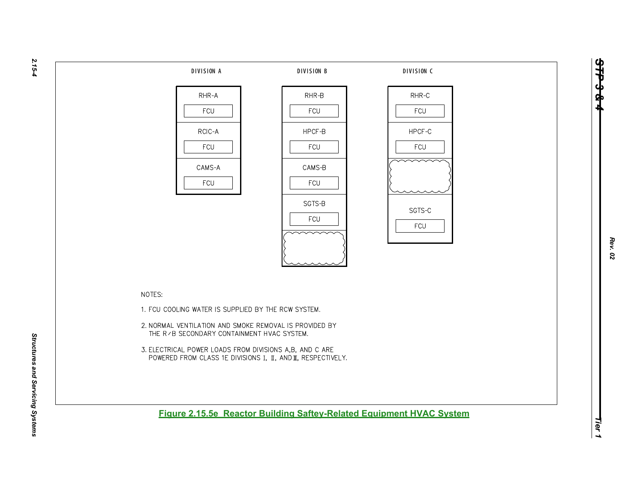

*Rev. 02*

*STP 3 & 4*

*Tier 1*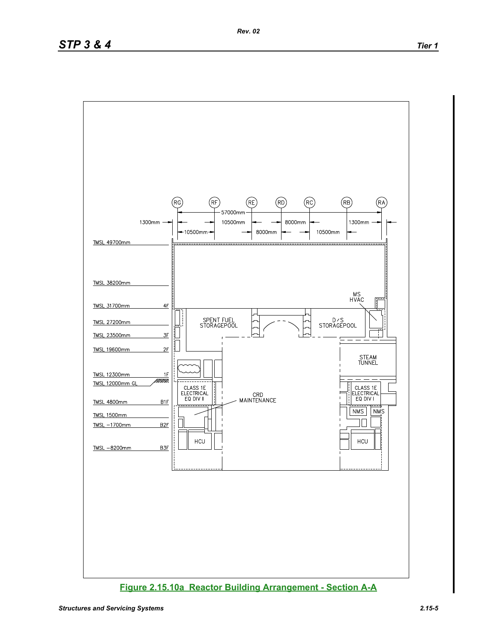

**Figure 2.15.10a Reactor Building Arrangement - Section A-A**